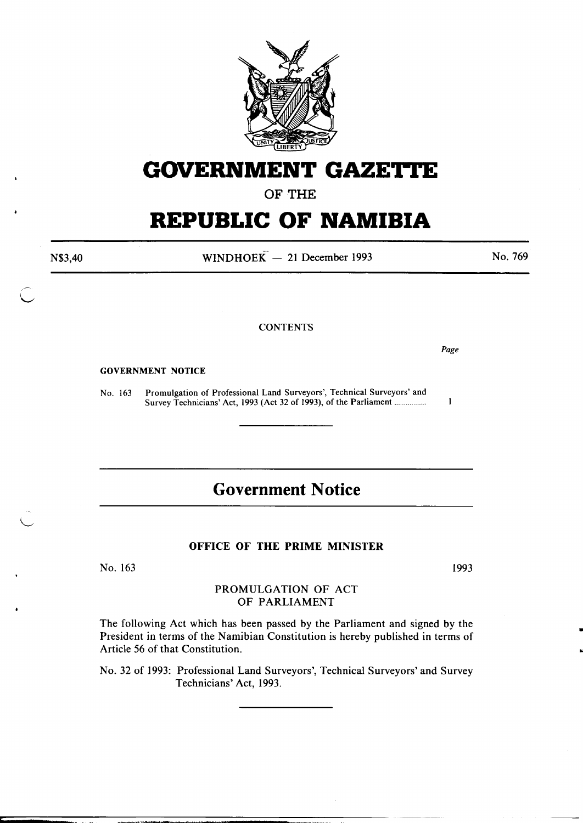

# **GOVERNMENT GAZETTE**

OF THE

# **REPUBLIC OF NAMIBIA**

N\$3,40

WINDHOEK $-$  21 December 1993

No. 769

#### **CONTENTS**

*Page* 

 $\mathbf{I}$ 

#### GOVERNMENT NOTICE

No. 163 Promulgation of Professional Land Surveyors', Technical Surveyors' and Survey Technicians' Act, 1993 (Act 32 of 1993), of the Parliament ................ .

## **Government Notice**

#### OFFICE OF THE PRIME MINISTER

No. 163

1993

•

..

### PROMULGATION OF ACT OF PARLIAMENT

The following Act which has been passed by the Parliament and signed by the President in terms of the Namibian Constitution is hereby published in terms of Article 56 of that Constitution.

No. 32 of 1993: Professional Land Surveyors', Technical Surveyors' and Survey Technicians' Act, 1993.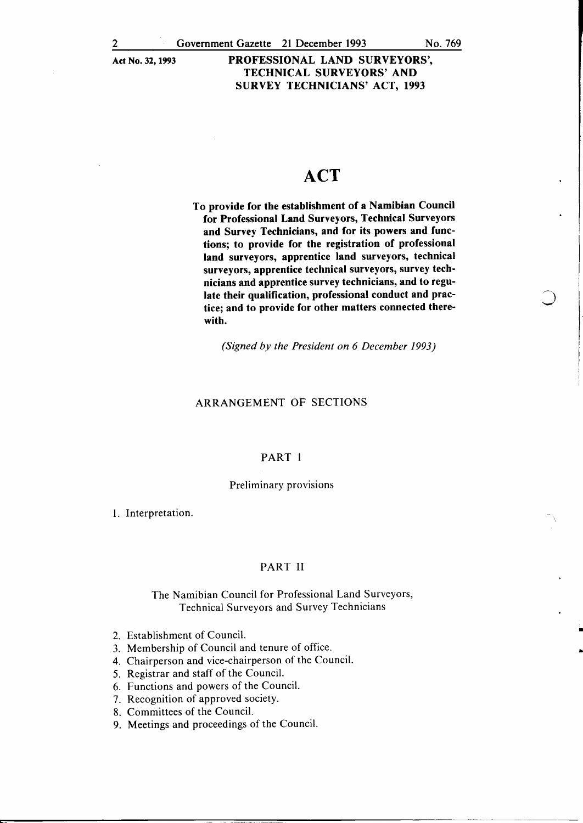## **ACT**

To provide for the establishment of a Namibian Council for Professional Land Surveyors, Technical Surveyors and Survey Technicians, and for its powers and functions; to provide for the registration of professional land surveyors, apprentice land surveyors, technical surveyors, apprentice technical surveyors, survey technicians and apprentice survey technicians, and to regulate their qualification, professional conduct and practice; and to provide for other matters connected therewith.

*(Signed by the President on 6 December 1993)* 

#### ARRANGEMENT OF SECTIONS

#### PART I

#### Preliminary provisions

I. Interpretation.

#### PART II

#### The Namibian Council for Professional Land Surveyors, Technical Surveyors and Survey Technicians

- 2. Establishment of Council.
- 3. Membership of Council and tenure of office.
- 4. Chairperson and vice-chairperson of the Council.
- 5. Registrar and staff of the Council.
- 6. Functions and powers of the Council.
- 7. Recognition of approved society.
- 8. Committees of the Council.
- 9. Meetings and proceedings of the Council.

•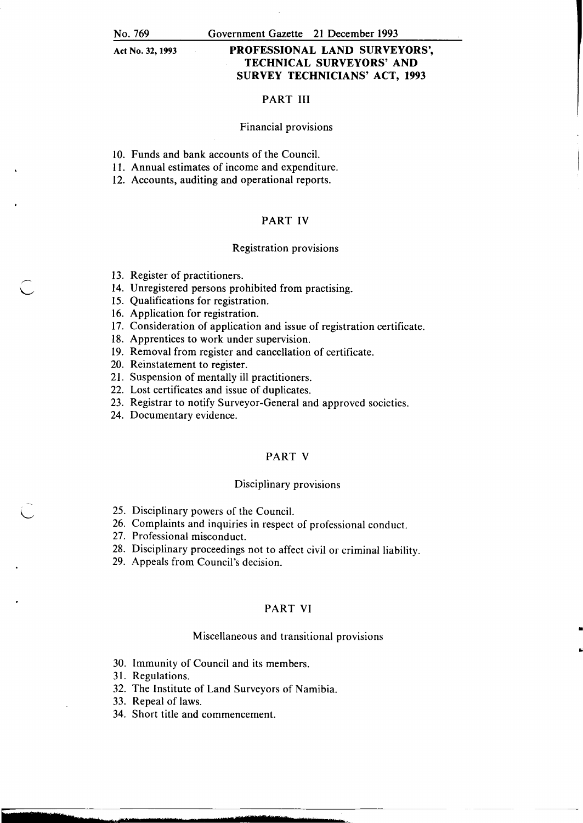### PROFESSIONAL LAND SURVEYORS', TECHNICAL SURVEYORS' AND SURVEY TECHNICIANS' ACT, 1993

#### PART III

#### Financial provisions

- 10. Funds and bank accounts of the Council.
- 11. Annual estimates of income and expenditure.
- 12. Accounts, auditing and operational reports.

#### PART IV

#### Registration provisions

- 13. Register of practitioners.
- 14. Unregistered persons prohibited from practising.
- 15. Qualifications for registration.
- 16. Application for registration.
- 17. Consideration of application and issue of registration certificate.
- 18. Apprentices to work under supervision.
- 19. Removal from register and cancellation of certificate.
- 20. Reinstatement to register.
- 21. Suspension of mentally ill practitioners.
- 22. Lost certificates and issue of duplicates.
- 23. Registrar to notify Surveyor-General and approved societies.
- 24. Documentary evidence.

#### PART V

#### Disciplinary provisions

- 25. Disciplinary powers of the Council.
- 26. Complaints and inquiries in respect of professional conduct.
- 27. Professional misconduct.
- 28. Disciplinary proceedings not to affect civil or criminal liability.
- 29. Appeals from Council's decision.

#### PART VI

#### Miscellaneous and transitional provisions

•

..

- 30. Immunity of Council and its members.
- 31. Regulations.
- 32. The Institute of Land Surveyors of Namibia.
- 33. Repeal of laws.
- 34. Short title and commencement.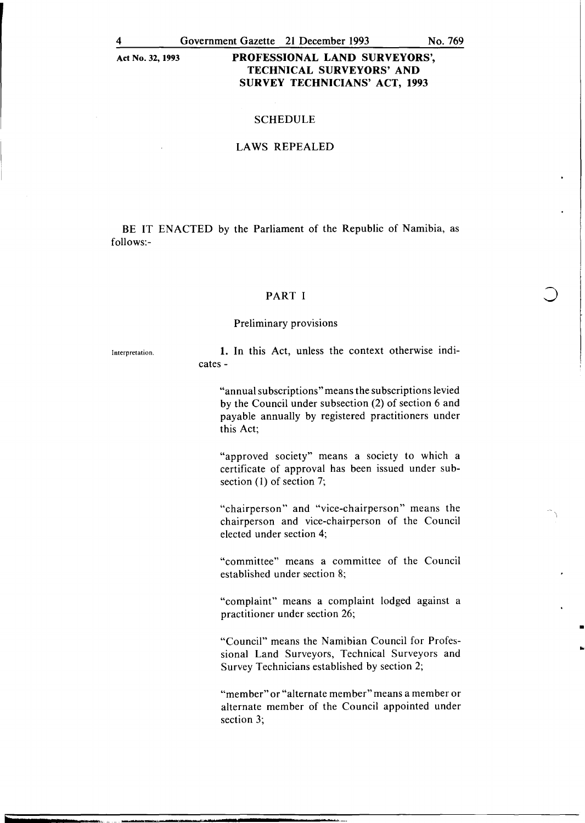#### **SCHEDULE**

#### LAWS REPEALED

BE IT ENACTED by the Parliament of the Republic of Namibia, as follows:-

#### PART I

#### Preliminary provisions

Interpretation.

1. In this Act, unless the context otherwise indicates-

"annual subscriptions" means the subscriptions levied by the Council under subsection (2) of section 6 and payable annually by registered practitioners under this Act;

"approved society" means a society to which a certificate of approval has been issued under subsection (1) of section 7;

"chairperson" and "vice-chairperson" means the chairperson and vice-chairperson of the Council elected under section 4;

"committee" means a committee of the Council established under section 8;

"complaint" means a complaint lodged against a practitioner under section 26;

•

•

"Council" means the Namibian Council for Professional Land Surveyors, Technical Surveyors and Survey Technicians established by section 2;

"member" or "alternate member" means a member or alternate member of the Council appointed under section 3;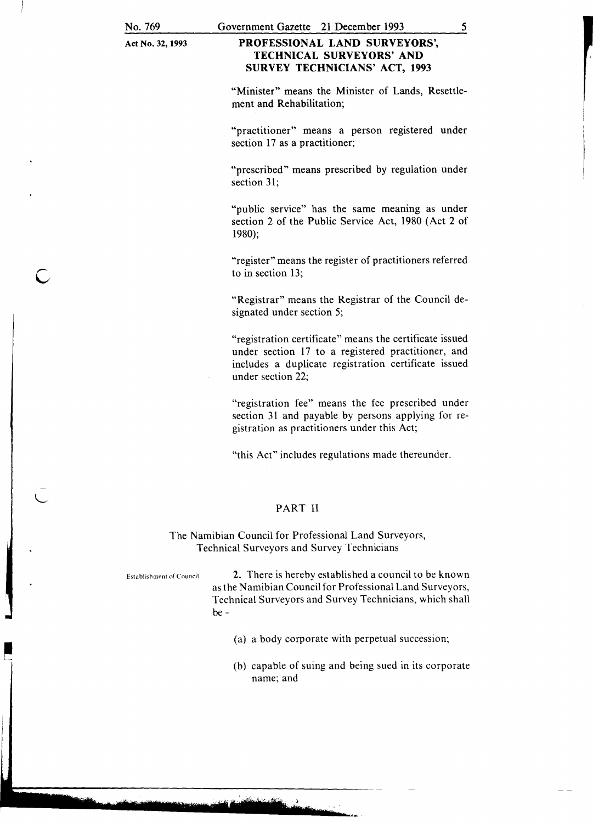c

Act No. 32, 1993

### PROFESSIONAL LAND SURVEYORS', TECHNICAL SURVEYORS' AND SURVEY TECHNICIANS' ACT, 1993

"Minister" means the Minister of Lands, Resettlement and Rehabilitation;

"practitioner" means a person registered under section 17 as a practitioner;

"prescribed" means prescribed by regulation under section 31;

"public service" has the same meaning as under section 2 of the Public Service Act, 1980 (Act 2 of 1980);

"register" means the register of practitioners referred to in section 13;

"Registrar" means the Registrar of the Council designated under section 5;

"registration certificate" means the certificate issued under section 17 to a registered practitioner, and includes a duplicate registration certificate issued under section 22;

"registration fee" means the fee prescribed under section 31 and payable by persons applying for registration as practitioners under this Act;

"this Act" includes regulations made thereunder.

### PART II

The Namibian Council for Professional Land Surveyors, Technical Surveyors and Survey Technicians

Establishment of Council. 2. There is hereby established a council to be known as the Namibian Council for Professional Land Surveyors, Technical Surveyors and Survey Technicians, which shall be-

- (a) a body corporate with perpetual succession;
- (b) capable of suing and being sued in its corporate name; and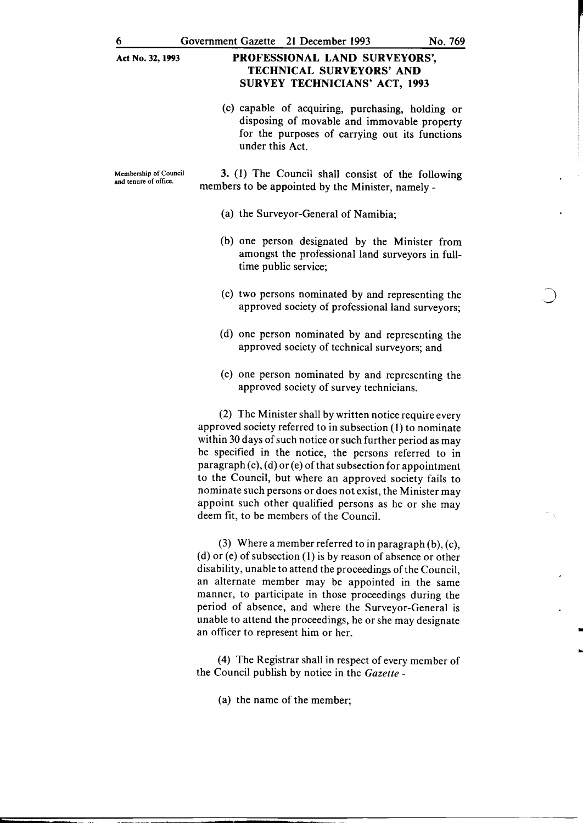(c) capable of acquiring, purchasing, holding or disposing of movable and immovable property for the purposes of carrying out its functions under this Act.

Membership of Council and tenure of office.

3. (1) The Council shall consist of the following members to be appointed by the Minister, namely-

- (a) the Surveyor-General of Namibia;
- (b) one person designated by the Minister from amongst the professional land surveyors in fulltime public service;
- (c) two persons nominated by and representing the approved society of professional land surveyors;
- (d) one person nominated by and representing the approved society of technical surveyors; and
- (e) one person nominated by and representing the approved society of survey technicians.

(2) The Minister shall by written notice require every approved society referred to in subsection (I) to nominate within 30 days of such notice or such further period as may be specified in the notice, the persons referred to in paragraph (c), (d) or (e) of that subsection for appointment to the Council, but where an approved society fails to nominate such persons or does not exist, the Minister may appoint such other qualified persons as he or she may deem fit, to be members of the Council.

(3) Where a member referred to in paragraph  $(b)$ ,  $(c)$ , (d) or (e) of subsection (I) is by reason of absence or other disability, unable to attend the proceedings of the Council, an alternate member may be appointed in the same manner, to participate in those proceedings during the period of absence, and where the Surveyor-General is unable to attend the proceedings, he or she may designate an officer to represent him or her.

(4) The Registrar shall in respect of every member of the Council publish by notice in the *Gazette* -

(a) the name of the member;

• ..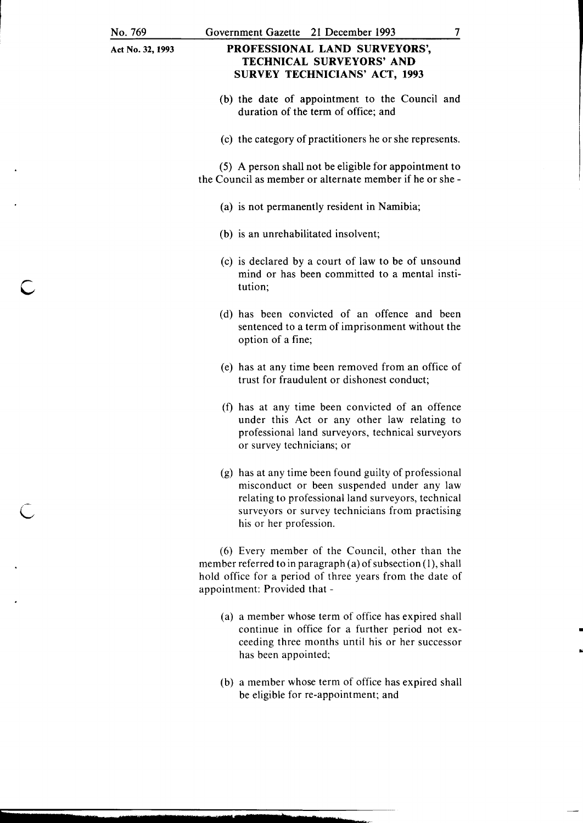c

 $\overline{C}$ 

Act No. 32, 1993

### PROFESSIONAL LAND SURVEYORS', TECHNICAL SURVEYORS' AND SURVEY TECHNICIANS' ACT, 1993

- (b) the date of appointment to the Council and duration of the term of office; and
- (c) the category of practitioners he or she represents.

(5) A person shall not be eligible for appointment to the Council as member or alternate member if he or she -

- (a) is not permanently resident in Namibia;
- (b) is an unrehabilitated insolvent;
- (c) is declared by a court of law to be of unsound mind or has been committed to a mental institution;
- (d) has been convicted of an offence and been sentenced to a term of imprisonment without the option of a fine;
- (e) has at any time been removed from an office of trust for fraudulent or dishonest conduct;
- (f) has at any time been convicted of an offence under this Act or any other law relating to professional land surveyors, technical surveyors or survey technicians; or
- (g) has at any time been found guilty of professional misconduct or been suspended under any law relating to professional land surveyors, technical surveyors or survey technicians from practising his or her profession.

(6) Every member of the Council, other than the member referred to in paragraph (a) of subsection (1), shall hold office for a period of three years from the date of appointment: Provided that -

(a) a member whose term of office has expired shall continue in office for a further period not exceeding three months until his or her successor has been appointed;

•

(b) a member whose term of office has expired shall be eligible for re-appointment; and

7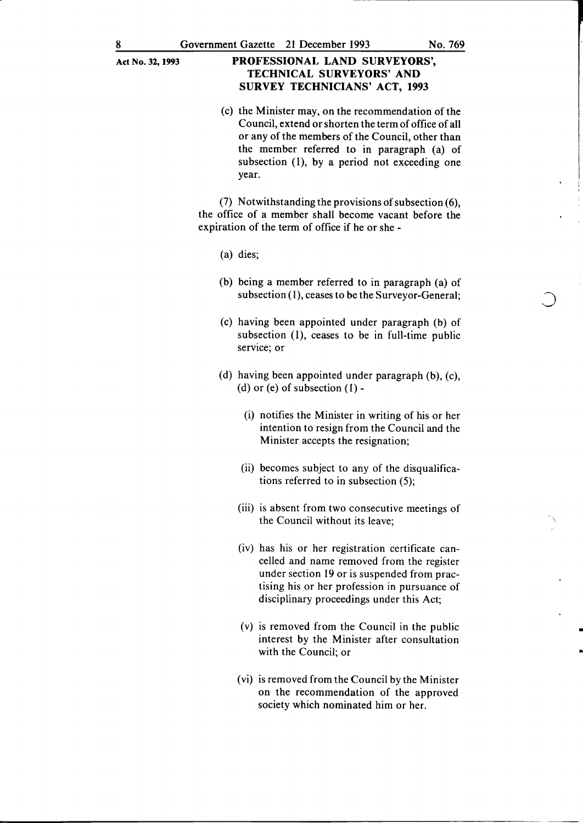(c) the Minister may, on the recommendation of the Council, extend or shorten the term of office of all or any of the members of the Council, other than the member referred to in paragraph (a) of subsection (1), by a period not exceeding one year.

(7) Notwithstanding the provisions of subsection  $(6)$ , the office of a member shall become vacant before the expiration of the term of office if he or she -

- (a) dies;
- (b) being a member referred to in paragraph (a) of subsection  $(1)$ , ceases to be the Surveyor-General;
- (c) having been appointed under paragraph (b) of subsection (1), ceases to be in full-time public service; or
- (d) having been appointed under paragraph (b), (c), (d) or (e) of subsection  $(1)$  -
	- (i) notifies the Minister in writing of his or her intention to resign from the Council and the Minister accepts the resignation;
	- (ii) becomes subject to any of the disqualifications referred to in subsection (5);
	- (iii) is absent from two consecutive meetings of the Council without its leave;
	- (iv) has his or her registration certificate cancelled and name removed from the register under section 19 or is suspended from practising his or her profession in pursuance of disciplinary proceedings under this Act;
	- (v) is removed from the Council in the public interest by the Minister after consultation with the Council; or

•

..

(vi) is removed from the Council by the Minister on the recommendation of the approved society which nominated him or her.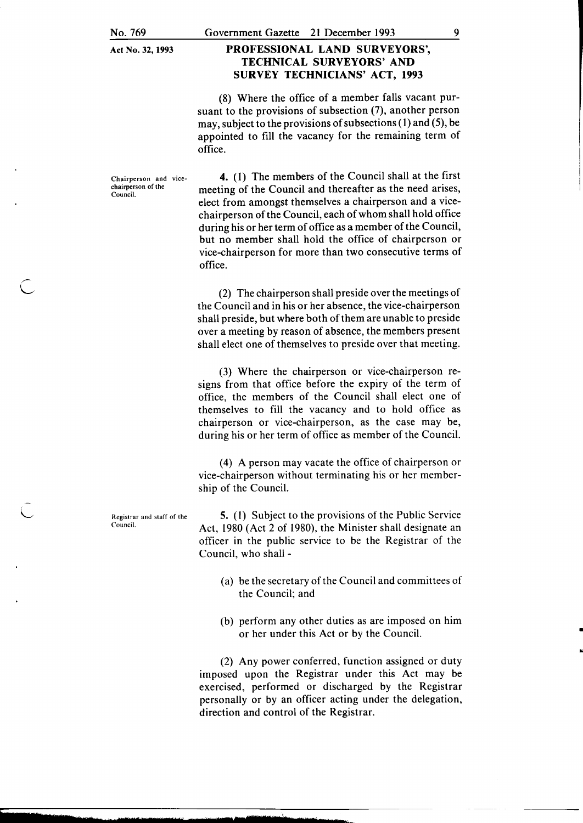#### Government Gazette 21 December 1993

### PROFESSIONAL LAND SURVEYORS', TECHNICAL SURVEYORS' AND SURVEY TECHNICIANS' ACT, 1993

(8) Where the office of a member falls vacant pursuant to the provisions of subsection (7), another person may, subject to the provisions of subsections ( 1) and (5), be appointed to fill the vacancy for the remaining term of office.

Chairperson and vice· chairperson of the Council.

4. (I) The members of the Council shall at the first meeting of the Council and thereafter as the need arises, elect from amongst themselves a chairperson and a vicechairperson of the Council, each of whom shall hold office during his or her term of office as a member of the Council, but no member shall hold the office of chairperson or vice-chairperson for more than two consecutive terms of office.

(2) The chairperson shall preside over the meetings of the Council and in his or her absence, the vice-chairperson shall preside, but where both of them are unable to preside over a meeting by reason of absence, the members present shall elect one of themselves to preside over that meeting.

(3) Where the chairperson or vice-chairperson resigns from that office before the expiry of the term of office, the members of the Council shall elect one of themselves to fill the vacancy and to hold office as chairperson or vice-chairperson, as the case may be, during his or her term of office as member of the Council.

(4) A person may vacate the office of chairperson or vice-chairperson without terminating his or her membership of the Council.

5. (I) Subject to the provisions of the Public Service Act, 1980 (Act 2 of 1980), the Minister shall designate an officer in the public service to be the Registrar of the Council, who shall -

- (a) be the secretary of the Council and committees of the Council; and
- (b) perform any other duties as are imposed on him or her under this Act or by the Council.

•

(2) Any power conferred, function assigned or duty imposed upon the Registrar under this Act may be exercised, performed or discharged by the Registrar personally or by an officer acting under the delegation, direction and control of the Registrar.

Registrar and staff of the Council.

L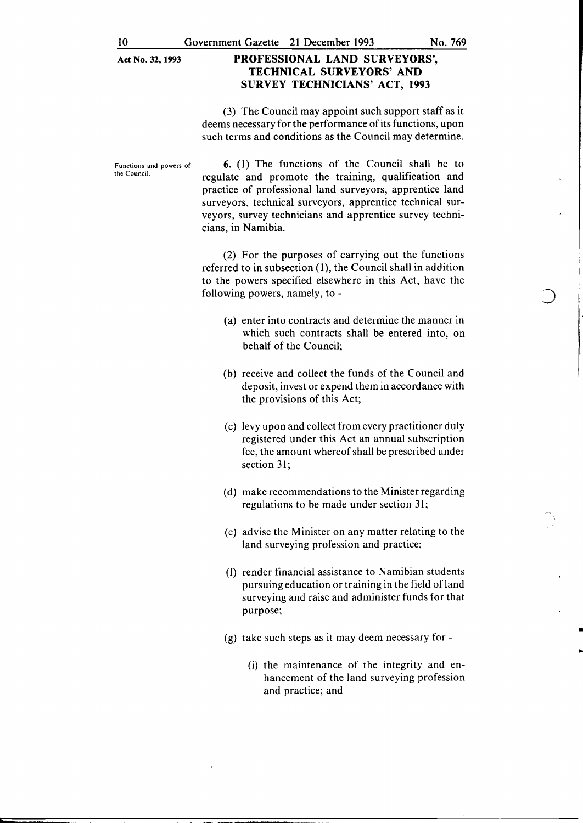(3) The Council may appoint such support staff as it deems necessary for the performance of its functions, upon such terms and conditions as the Council may determine.

Functions and powers of the Council.

6. ( 1) The functions of the Council shall be to regulate and promote the training, qualification and practice of professional land surveyors, apprentice land surveyors, technical surveyors, apprentice technical surveyors, survey technicians and apprentice survey technicians, in Namibia.

(2) For the purposes of carrying out the functions referred to in subsection  $(1)$ , the Council shall in addition to the powers specified elsewhere in this Act, have the following powers, namely, to-

- (a) enter into contracts and determine the manner in which such contracts shall be entered into, on behalf of the Council;
- (b) receive and collect the funds of the Council and deposit, invest or expend them in accordance with the provisions of this Act;
- (c) levy upon and collect from every practitioner duly registered under this Act an annual subscription fee, the amount whereof shall be prescribed under section 31;
- (d) make recommendations to the Minister regarding regulations to be made under section 31;
- (e) advise the Minister on any matter relating to the land surveying profession and practice;
- (f) render financial assistance to Namibian students pursuing education or training in the field ofland surveying and raise and administer funds for that purpose;
- (g) take such steps as it may deem necessary for
	- (i) the maintenance of the integrity and enhancement of the land surveying profession and practice; and

•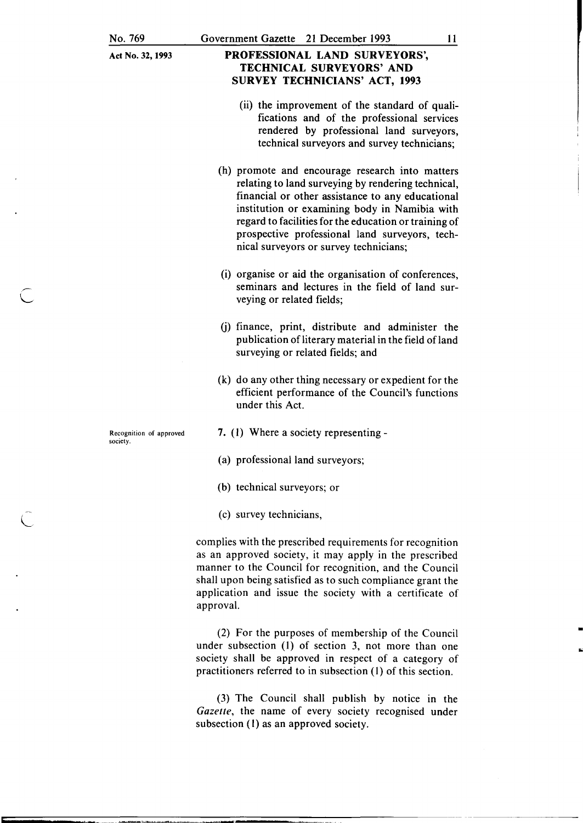### PROFESSIONAL LAND SURVEYORS', TECHNICAL SURVEYORS' AND SURVEY TECHNICIANS' ACT, 1993

- (ii) the improvement of the standard of qualifications and of the professional services rendered by professional land surveyors, technical surveyors and survey technicians;
- (h) promote and encourage research into matters relating to land surveying by rendering technical, financial or other assistance to any educational institution or examining body in Namibia with regard to facilities for the education or training of prospective professional land surveyors, technical surveyors or survey technicians;
- (i) organise or aid the organisation of conferences, seminars and lectures in the field of land surveying or related fields;
- (j) finance, print, distribute and administer the publication of literary material in the field of land surveying or related fields; and
- (k) do any other thing necessary or expedient for the efficient performance of the Council's functions under this Act.
- 7. (I) Where a society representing -
- (a) professional land surveyors;
- (b) technical surveyors; or
- (c) survey technicians,

complies with the prescribed requirements for recognition as an approved society, it may apply in the prescribed manner to the Council for recognition, and the Council shall upon being satisfied as to such compliance grant the application and issue the society with a certificate of approval.

(2) For the purposes of membership of the Council under subsection (I) of section 3, not more than one society shall be approved in respect of a category of practitioners referred to in subsection (I) of this section.

(3) The Council shall publish by notice in the *Gazette,* the name of every society recognised under subsection (1) as an approved society.

Recognition of approved society.

- L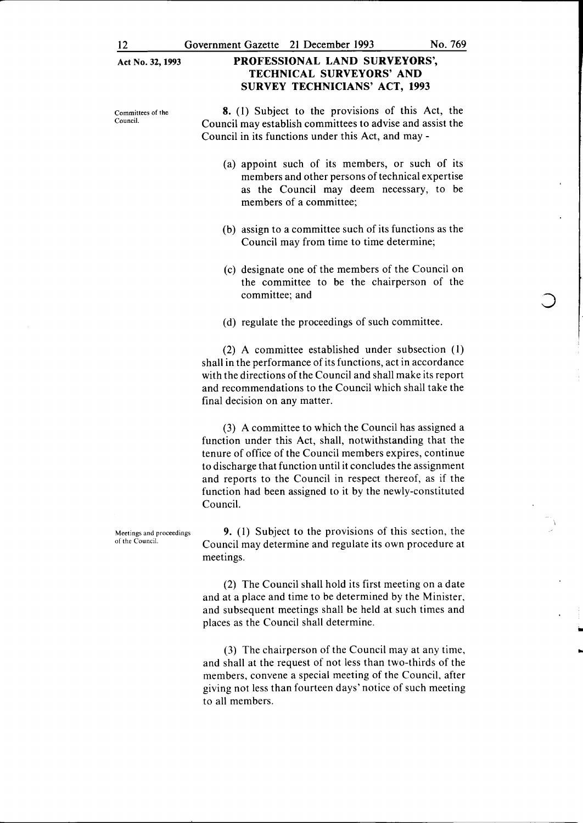Committees of the Council.

TECHNICAL SURVEYORS' AND SURVEY TECHNICIANS' ACT, 1993

PROFESSIONAL LAND SURVEYORS',

8. (1) Subject to the provisions of this Act, the Council may establish committees to advise and assist the Council in its functions under this Act, and may -

- (a) appoint such of its members, or such of its members and other persons of technical expertise as the Council may deem necessary, to be members of a committee;
- (b) assign to a committee such of its functions as the Council may from time to time determine;
- (c) designate one of the members of the Council on the committee to be the chairperson of the committee; and
- (d) regulate the proceedings of such committee.

(2) A committee established under subsection (1) shall in the performance of its functions, act in accordance with the directions of the Council and shall make its report and recommendations to the Council which shall take the final decision on any matter.

(3) A committee to which the Council has assigned a function under this Act, shall, notwithstanding that the tenure of office of the Council members expires, continue to discharge that function until it concludes the assignment and reports to the Council in respect thereof, as if the function had been assigned to it by the newly-constituted Council.

9. (1) Subject to the provisions of this section, the Council may determine and regulate its own procedure at meetings.

(2) The Council shall hold its first meeting on a date and at a place and time to be determined by the Minister, and subsequent meetings shall be held at such times and places as the Council shall determine.

(3) The chairperson of the Council may at any time, and shall at the request of not less than two-thirds of the members, convene a special meeting of the Council, after giving not less than fourteen days' notice of such meeting to all members.

Meetings and proceedings of the Council.

..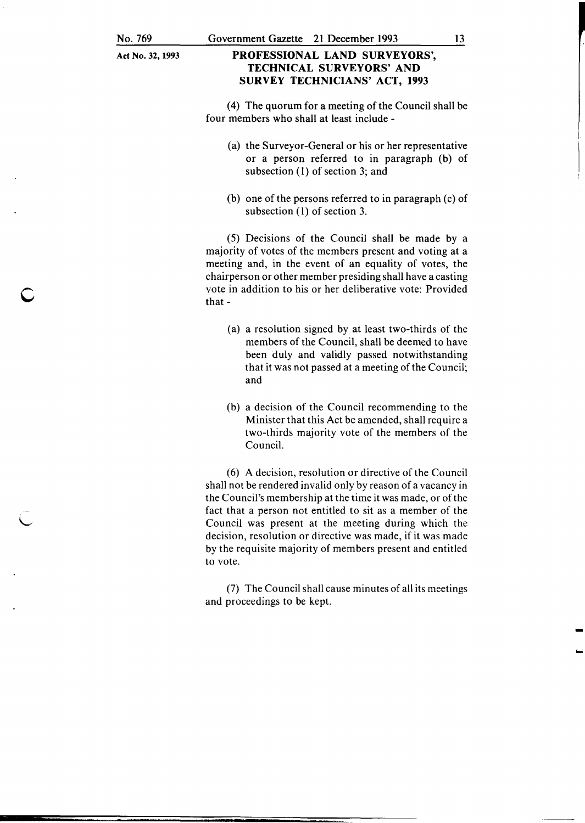c

- L Act No. 32, 1993

### PROFESSIONAL LAND SURVEYORS', TECHNICAL SURVEYORS' AND SURVEY TECHNICIANS' ACT, 1993

(4) The quorum for a meeting of the Council shall be four members who shall at least include -

- (a) the Surveyor-General or his or her representative or a person referred to in paragraph (b) of subsection (1) of section 3; and
- (b) one of the persons referred to in paragraph (c) of subsection (1) of section 3.

(5) Decisions of the Council shall be made by a majority of votes of the members present and voting at a meeting and, in the event of an equality of votes, the chairperson or other member presiding shall have a casting vote in addition to his or her deliberative vote: Provided that-

- (a) a resolution signed by at least two-thirds of the members of the Council, shall be deemed to have been duly and validly passed notwithstanding that it was not passed at a meeting of the Council; and
- (b) a decision of the Council recommending to the Minister that this Act be amended, shall require a two-thirds majority vote of the members of the Council.

(6) A decision, resolution or directive of the Council shall not be rendered invalid only by reason of a vacancy in the Council's membership at the time it was made, or of the fact that a person not entitled to sit as a member of the Council was present at the meeting during which the decision, resolution or directive was made, if it was made by the requisite majority of members present and entitled to vote.

(7) The Council shall cause minutes of all its meetings and proceedings to be kept.

-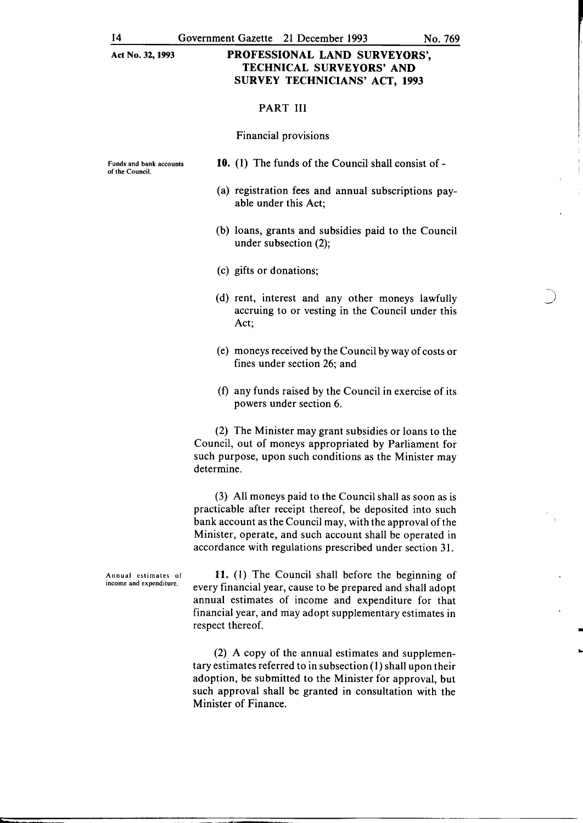#### PART III

#### Financial provisions

Funds and bank accounts of the Council.

- 10. (1) The funds of the Council shall consist of-
- (a) registration fees and annual subscriptions payable under this Act;
- (b) loans, grants and subsidies paid to the Council under subsection (2);
- (c) gifts or donations;
- (d) rent, interest and any other moneys lawfully accruing to or vesting in the Council under this Act;
- (e) moneys received by the Council by way of costs or fines under section 26; and
- (f) any funds raised by the Council in exercise of its powers under section 6.

(2) The Minister may grant subsidies or loans to the Council, out of moneys appropriated by Parliament for such purpose, upon such conditions as the Minister may determine.

(3) All moneys paid to the Council shall as soon as is practicable after receipt thereof, be deposited into such bank account as the Council may, with the approval of the Minister, operate, and such account shall be operated in accordance with regulations prescribed under section 31.

Annual estimates of income and expenditure.

11. (I) The Council shall before the beginning of every financial year, cause to be prepared and shall adopt annual estimates of income and expenditure for that financial year, and may adopt supplementary estimates in respect thereof.

(2) A copy of the annual estimates and supplementary estimates referred to in subsection (I) shall upon their adoption, be submitted to the Minister for approval, but such approval shall be granted in consultation with the Minister of Finance.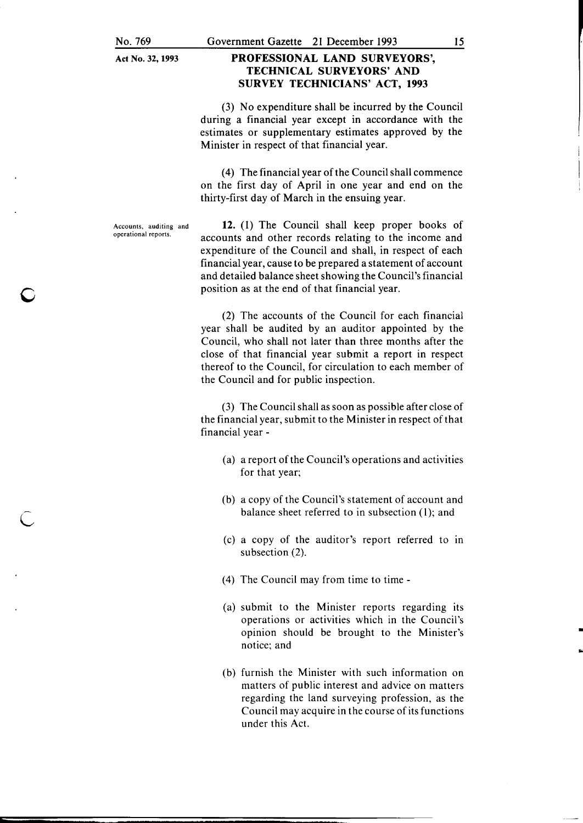#### PROFESSIONAL LAND SURVEYORS', TECHNICAL SURVEYORS' AND SURVEY TECHNICIANS' ACT, 1993

(3) No expenditure shall be incurred by the Council during a financial year except in accordance with the estimates or supplementary estimates approved by the Minister in respect of that financial year.

( 4) The financial year of the Council shall commence on the first day of April in one year and end on the thirty-first day of March in the ensuing year.

Accounts, auditing and operational reports.

c

c

12. (1) The Council shall keep proper books of accounts and other records relating to the income and expenditure of the Council and shall, in respect of each financial year, cause to be prepared a statement of account and detailed balance sheet showing the Council's financial position as at the end of that financial year.

(2) The accounts of the Council for each financial year shall be audited by an auditor appointed by the Council, who shall not later than three months after the close of that financial year submit a report in respect thereof to the Council, for circulation to each member of the Council and for public inspection.

(3) The Council shall as soon as possible after close of the financial year, submit to the Minister in respect of that financial year -

- (a) a report of the Council's operations and activities for that year;
- (b) a copy of the Council's statement of account and balance sheet referred to in subsection (1); and
- (c) a copy of the auditor's report referred to in subsection (2).
- (4) The Council may from time to time-
- (a) submit to the Minister reports regarding its operations or activities which in the Council's opinion should be brought to the Minister's notice; and

•

(b) furnish the Minister with such information on matters of public interest and advice on matters regarding the land surveying profession, as the Council may acquire in the course of its functions under this Act.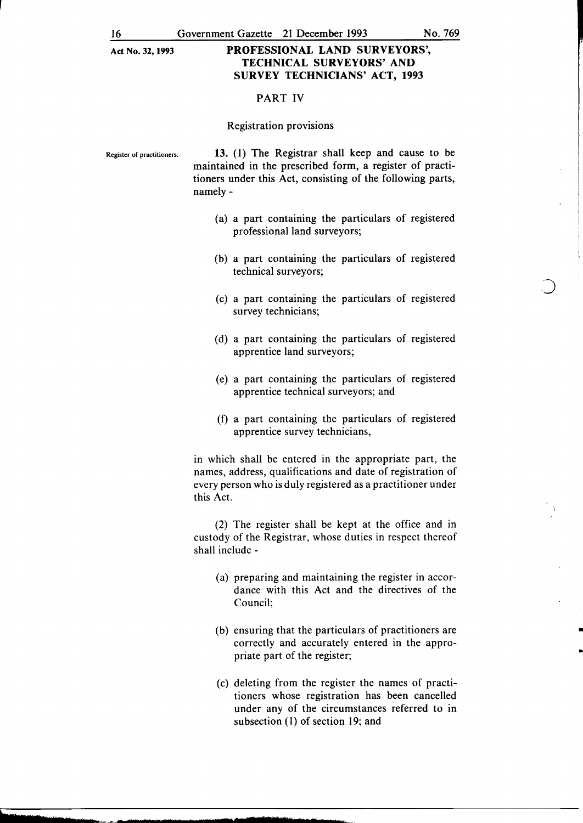#### PART IV

#### Registration provisions

Register of practitioners. 13. (1) The Registrar shall keep and cause to be maintained in the prescribed form, a register of practitioners under this Act, consisting of the following parts, namely-

- (a) a part containing the particulars of registered professional land surveyors;
- (b) a part containing the particulars of registered technical surveyors;
- (c) a part containing the particulars of registered survey technicians;
- (d) a part containing the particulars of registered apprentice land surveyors;
- (e) a part containing the particulars of registered apprentice technical surveyors; and
- (f) a part containing the particulars of registered apprentice survey technicians,

in which shall be entered in the appropriate part, the names, address, qualifications and date of registration of every person who is duly registered as a practitioner under this Act.

(2) The register shall be kept at the office and in custody of the Registrar, whose duties in respect thereof shall include -

- (a) preparing and maintaining the register in accordance with this Act and the directives of the Council;
- (b) ensuring that the particulars of practitioners are correctly and accurately entered in the appropriate part of the register;

•

•

(c) deleting from the register the names of practitioners whose registration has been cancelled under any of the circumstances referred to in subsection (l) of section 19; and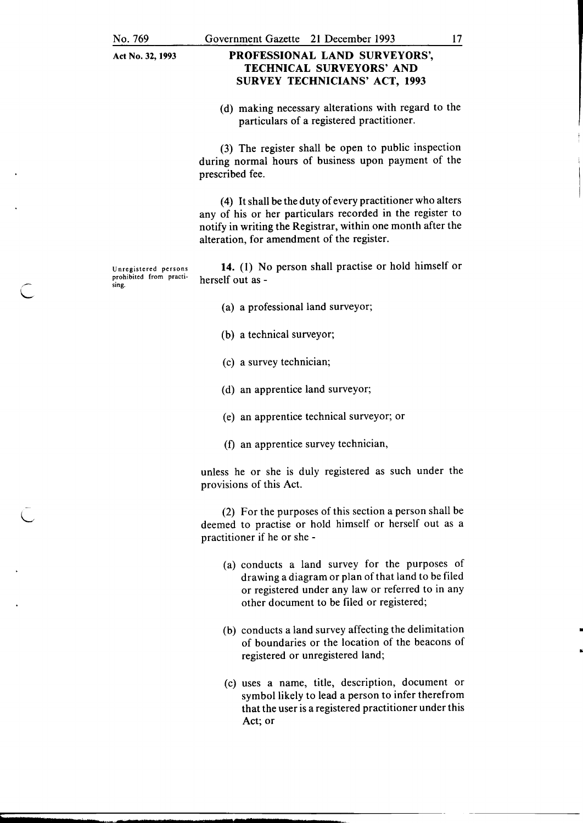### PROFESSIONAL LAND SURVEYORS', TECHNICAL SURVEYORS' AND SURVEY TECHNICIANS' ACT, 1993

(d) making necessary alterations with regard to the particulars of a registered practitioner.

(3) The register shall be open to public inspection during normal hours of business upon payment of the prescribed fee.

( 4) It shall be the duty of every practitioner who alters any of his or her particulars recorded in the register to notify in writing the Registrar, within one month after the alteration, for amendment of the register.

Unregistered persons prohibited from practising.

14. (I) No person shall practise or hold himself or herself out as -

- (a) a professional land surveyor;
- (b) a technical surveyor;
- (c) a survey technician;
- (d) an apprentice land surveyor;
- (e) an apprentice technical surveyor; or
- (f) an apprentice survey technician,

unless he or she is duly registered as such under the provisions of this Act.

(2) For the purposes of this section a person shall be deemed to practise or hold himself or herself out as a practitioner if he or she -

- (a) conducts a land survey for the purposes of drawing a diagram or plan of that land to be filed or registered under any law or referred to in any other document to be filed or registered;
- (b) conducts a land survey affecting the delimitation of boundaries or the location of the beacons of registered or unregistered land;

•

"

(c) uses a name, title, description, document or symbol likely to lead a person to infer therefrom that the user is a registered practitioner under this Act; or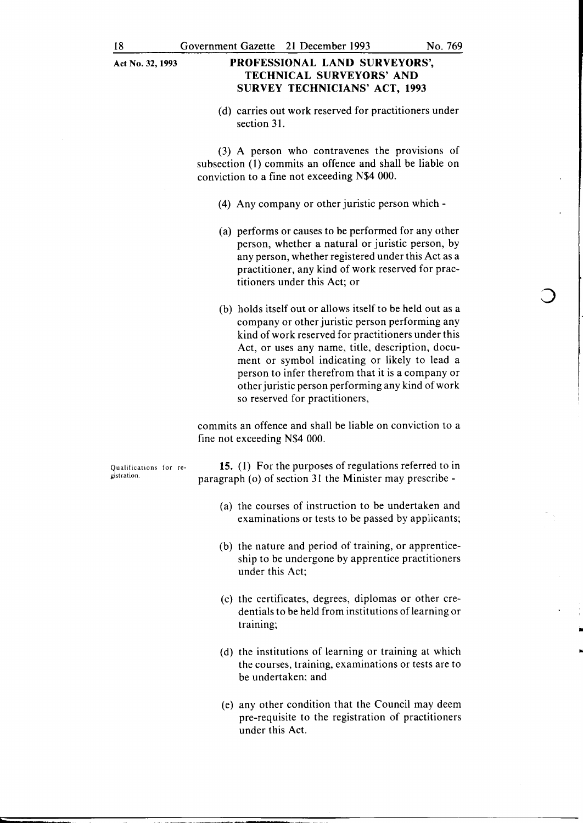(d) carries out work reserved for practitioners under section 31.

 $(3)$  A person who contravenes the provisions of subsection (I) commits an offence and shall be liable on conviction to a fine not exceeding N\$4 000.

- (4) Any company or other juristic person which-
- (a) performs or causes to be performed for any other person, whether a natural or juristic person, by any person, whether registered under this Act as a practitioner, any kind of work reserved for practitioners under this Act; or
- (b) holds itself out or allows itself to be held out as a company or other juristic person performing any kind of work reserved for practitioners under this Act, or uses any name, title, description, document or symbol indicating or likely to lead a person to infer therefrom that it is a company or other juristic person performing any kind of work so reserved for practitioners,

commits an offence and shall be liable on conviction to a fine not exceeding N\$4 000.

Qualifications for registration.

**15.** (I) For the purposes of regulations referred to in paragraph (o) of section 31 the Minister may prescribe -

- (a) the courses of instruction to be undertaken and examinations or tests to be passed by applicants;
- (b) the nature and period of training, or apprenticeship to be undergone by apprentice practitioners under this Act;
- (c) the certificates, degrees, diplomas or other eredentials to be held from institutions of learning or training;

•

..

- (d) the institutions of learning or training at which the courses, training, examinations or tests are to be undertaken; and
- (e) any other condition that the Council may deem pre-requisite to the registration of practitioners under this Act.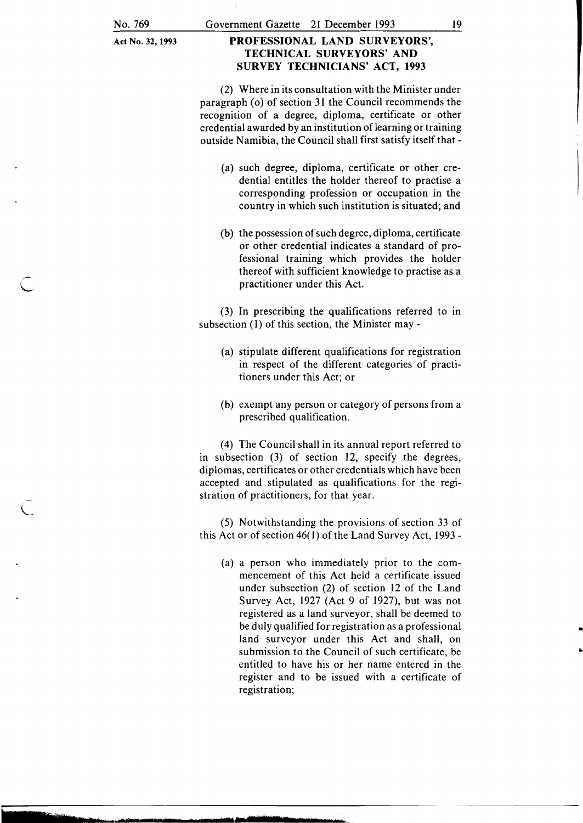L

Act No. 32, 1993

iiiiiiiiiTifiTIIIMs-.rMa.-•·~==--•••••rr **.. a-..-.-...** r•nMr~te **........ ,.,z-.s-. .. , ••** ~ **...** <sup>~</sup>

### PROFESSIONAL LAND SURVEYORS', TECHNICAL SURVEYORS' AND SURVEY TECHNICIANS' ACT, 1993

(2) Where in its consultation with the Minister under paragraph (o) of section 31 the Council recommends the recognition of a degree, diploma, certificate or other credential awarded by an institution of learning or training outside Namibia, the Council shall first satisfy itself that-

- (a) such degree, diploma, certificate or other credential entitles the holder thereof to practise a corresponding profession or occupation in the country in which such institution is situated; and
- (b) the possession of such degree, diploma, certificate or other credential indicates a standard of professional training which provides the holder thereof with sufficient knowledge to practise as a practitioner under this Act.

(3) In prescribing the qualifications referred to in subsection (1) of this section, the Minister may -

- (a) stipulate different qualifications for registration in respect of the different categories of practitioners under this Act; or
- (b) exempt any person or category of persons from a prescribed qualification.

( 4) The Council shall in its annual report referred to in subsection (3) of section 12, specify the degrees, diplomas, certificates or other credentials which have been accepted and stipulated as qualifications for the registration of practitioners, for that year.

(5) Notwithstanding the provisions of section 33 of this Act or of section 46( 1) of the Land Survey Act, 1993 -

(a) a person who immediately prior to the commencement of this Act held a certificate issued under subsection (2) of section 12 of the Land Survey Act, 1927 (Act 9 of 1927), but was not registered as a land surveyor, shall be deemed to be duly qualified for registration as a professional land surveyor under this Act and shall, on submission to the Council of such certificate, be entitled to have his or her name entered in the register and to be issued with a certificate of registration;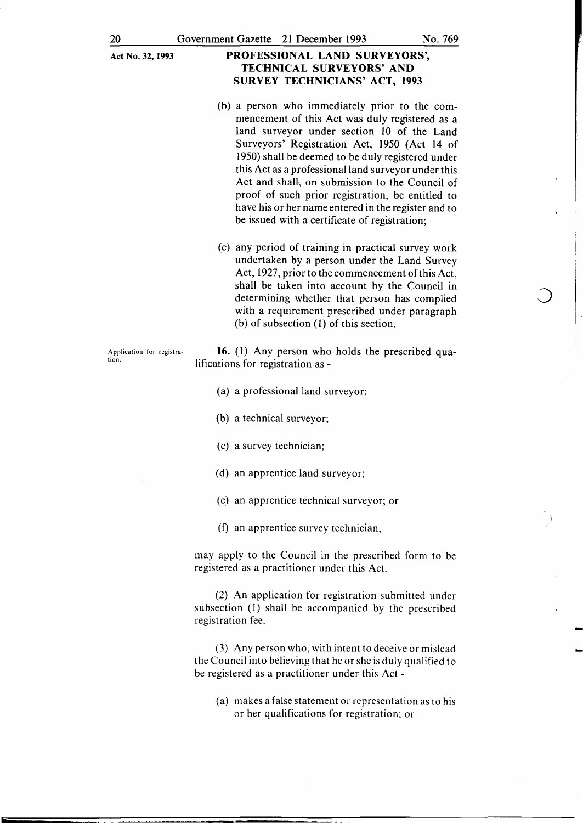- (b) a person who immediately prior to the commencement of this Act was duly registered as a land surveyor under section 10 of the Land Surveyors' Registration Act, 1950 (Act I4 of I950) shall be deemed to be duly registered under this Act as a professional land surveyor under this Act and shall, on submission to the Council of proof of such prior registration, be entitled to have his or her name entered in the register and to be issued with a certificate of registration;
- (c) any period of training in practical survey work undertaken by a person under the Land Survey Act, I927, prior to the commencement of this Act, shall be taken into account by the Council in determining whether that person has complied with a requirement prescribed under paragraph (b) of subsection (I) of this section.

Application for registration.

16. (I) Any person who holds the prescribed qualifications for registration as -

- (a) a professional land surveyor;
- (b) a technical surveyor;
- (c) a survey technician;
- (d) an apprentice land surveyor;
- (e) an apprentice technical surveyor; or
- (f) an apprentice survey technician,

may apply to the Council in the prescribed form to be registered as a practitioner under this Act.

(2) An application for registration submitted under subsection (I) shall be accompanied by the prescribed registration fee.

(3) Any person who, with intent to deceive or mislead the Council into believing that he or she is duly qualified to be registered as a practitioner under this Act -

(a) makes a false statement or representation as to his or her qualifications for registration; or

I

-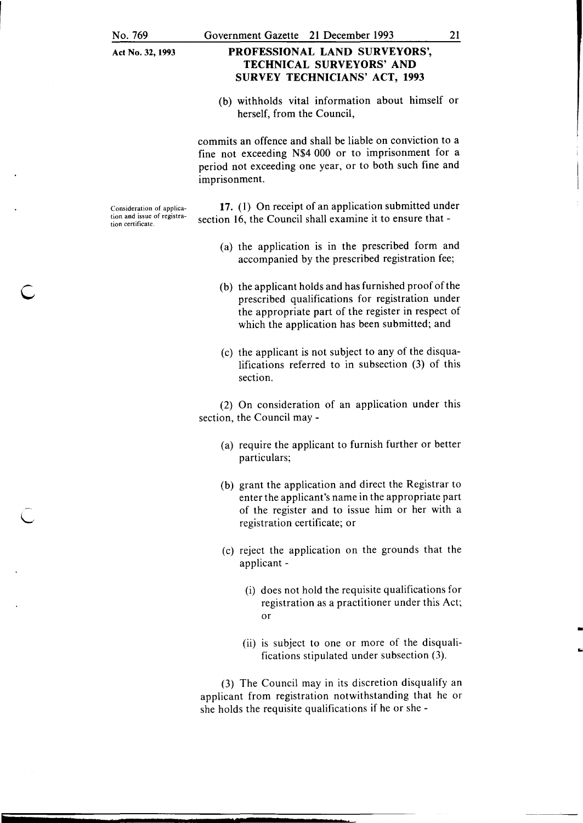### PROFESSIONAL LAND SURVEYORS', TECHNICAL SURVEYORS' AND SURVEY TECHNICIANS' ACT, 1993

(b) withholds vital information about himself or herself, from the Council,

commits an offence and shall be liable on conviction to a fine not exceeding N\$4 000 or to imprisonment for a period not exceeding one year, or to both such fine and imprisonment.

Consideration of application and issue of registration certificate.

c

17. (1) On receipt of an application submitted under section 16, the Council shall examine it to ensure that -

- (a) the application is in the prescribed form and accompanied by the prescribed registration fee;
- (b) the applicant holds and has furnished proof of the prescribed qualifications for registration under the appropriate part of the register in respect of which the application has been submitted; and
- (c) the applicant is not subject to any of the disqualifications referred to in subsection (3) of this section.

(2) On consideration of an application under this section, the Council may -

- (a) require the applicant to furnish further or better particulars;
- (b) grant the application and direct the Registrar to enter the applicant's name in the appropriate part of the register and to issue him or her with a registration certificate; or
- (c) reject the application on the grounds that the applicant-
	- (i) does not hold the requisite qualifications for registration as a practitioner under this Act; or

-

(ii) is subject to one or more of the disqualifications stipulated under subsection (3).

(3) The Council may in its discretion disqualify an applicant from registration notwithstanding that he or she holds the requisite qualifications if he or she -

21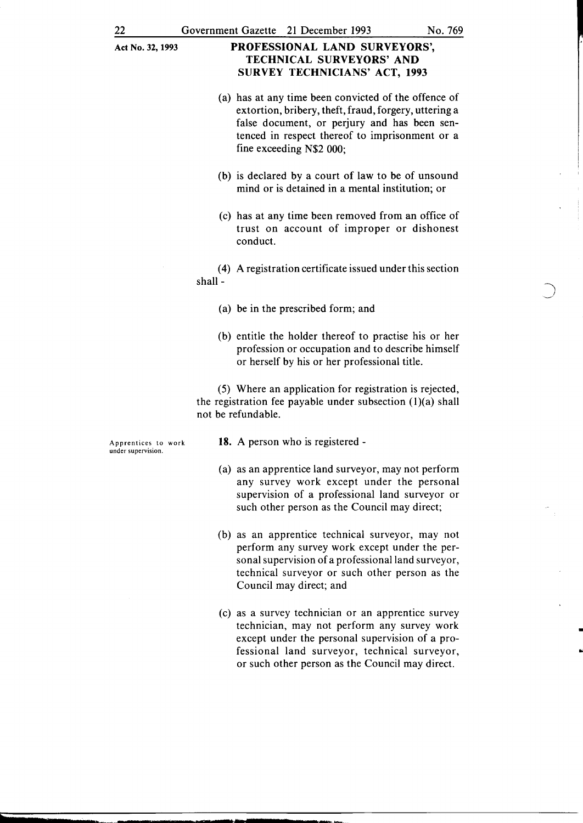- (a) has at any time been convicted of the offence of extortion, bribery, theft, fraud, forgery, uttering a false document, or perjury and has been sentenced in respect thereof to imprisonment or a fine exceeding N\$2 000;
- (b) is declared by a court of law to be of unsound mind or is detained in a mental institution; or
- (c) has at any time been removed from an office of trust on account of improper or dishonest conduct.

( 4) A registration certificate issued under this section shall-

- (a) be in the prescribed form; and
- (b) entitle the holder thereof to practise his or her profession or occupation and to describe himself or herself by his or her professional title.

(5) Where an application for registration is rejected, the registration fee payable under subsection  $(1)(a)$  shall not be refundable.

Apprentices to work under supervision.

tb

ear=t

-

- 18. A person who is registered -
- (a) as an apprentice land surveyor, may not perform any survey work except under the personal supervision of a professional land surveyor or such other person as the Council may direct;
- (b) as an apprentice technical surveyor, may not perform any survey work except under the personal supervision of a professional land surveyor, technical surveyor or such other person as the Council may direct; and
- (c) as a survey technician or an apprentice survey technician, may not perform any survey work except under the personal supervision of a professional land surveyor, technical surveyor, or such other person as the Council may direct.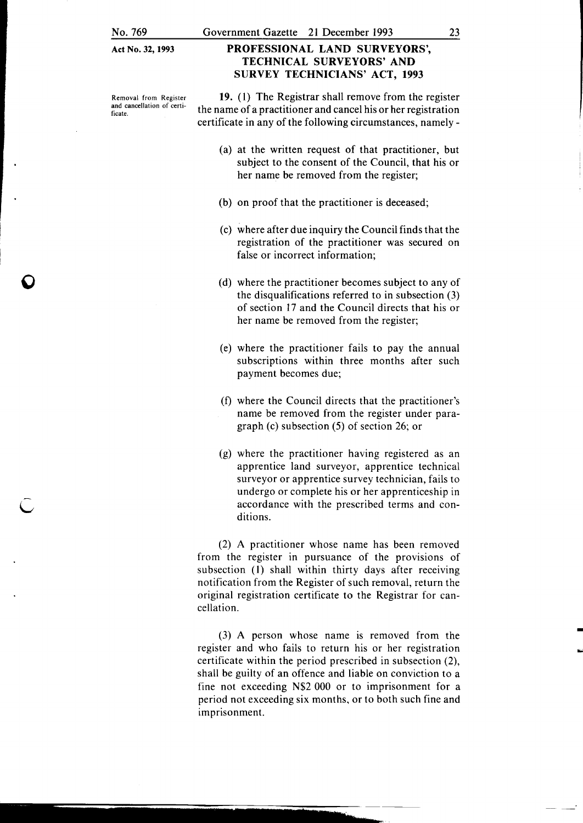**0** 

**Act** No. 32, **1993** 

#### Removal from Register and cancellation of certificate.

### **PROFESSIONAL LAND SURVEYORS', TECHNICAL SURVEYORS' AND SURVEY TECHNICIANS' ACT, 1993**

**19.** (I) The Registrar shall remove from the register the name of a practitioner and cancel his or her registration certificate in any of the following circumstances, namely-

- (a) at the written request of that practitioner, but subject to the consent of the Council, that his or her name be removed from the register;
- (b) on proof that the practitioner is deceased;
- (c) where after due inquiry the Council finds that the registration of the practitioner was secured on false or incorrect information;
- (d) where the practitioner becomes subject to any of the disqualifications referred to in subsection (3) of section 17 and the Council directs that his or her name be removed from the register;
- (e) where the practitioner fails to pay the annual subscriptions within three months after such payment becomes due;
- (f) where the Council directs that the practitioner's name be removed from the register under paragraph (c) subsection (5) of section 26; or
- (g) where the practitioner having registered as an apprentice land surveyor, apprentice technical surveyor or apprentice survey technician, fails to undergo or complete his or her apprenticeship in accordance with the prescribed terms and conditions.

(2) A practitioner whose name has been removed from the register in pursuance of the provisions of subsection (I) shall within thirty days after receiving notification from the Register of such removal, return the original registration certificate to the Registrar for cancellation.

(3) A person whose name is removed from the register and who fails to return his or her registration certificate within the period prescribed in subsection (2), shall be guilty of an offence and liable on conviction to a fine not exceeding N\$2 000 or to imprisonment for a period not exceeding six months, or to both such fine and imprisonment.

-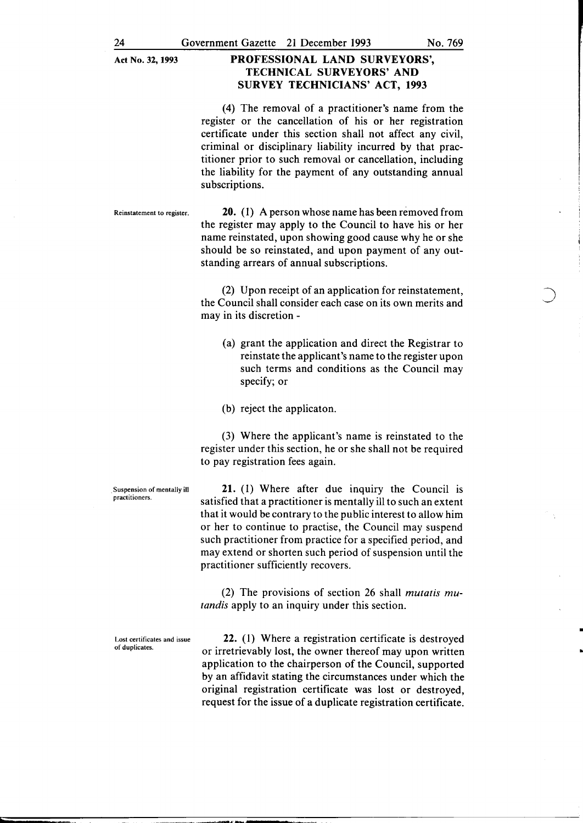(4) The removal of a practitioner's name from the register or the cancellation of his or her registration certificate under this section shall not affect any civil, criminal or disciplinary liability incurred by that practitioner prior to such removal or cancellation, including the liability for the payment of any outstanding annual subscriptions.

Reinstatement to register. **20.** (1) A person whose name has been removed from the register may apply to the Council to have his or her name reinstated, upon showing good cause why he or she should be so reinstated, and upon payment of any outstanding arrears of annual subscriptions.

> (2) Upon receipt of an application for reinstatement, the Council shall consider each case on its own merits and may in its discretion -

- (a) grant the application and direct the Registrar to reinstate the applicant's name to the register upon such terms and conditions as the Council may specify; or
- (b) reject the applicaton.

(3) Where the applicant's name is reinstated to the register under this section, he or she shall not be required to pay registration fees again.

Suspension of mentally ill practitioners.

21. (I) Where after due inquiry the Council is satisfied that a practitioner is mentally ill to such an extent that it would be contrary to the public interest to allow him or her to continue to practise, the Council may suspend such practitioner from practice for a specified period, and may extend or shorten such period of suspension until the practitioner sufficiently recovers.

(2) The provisions of section 26 shall *mutatis mutandis* apply to an inquiry under this section.

Lost certificates and issue of duplicates.

22. (I) Where a registration certificate is destroyed or irretrievably lost, the owner thereof may upon written application to the chairperson of the Council, supported by an affidavit stating the circumstances under which the original registration certificate was lost or destroyed, request for the issue of a duplicate registration certificate.

•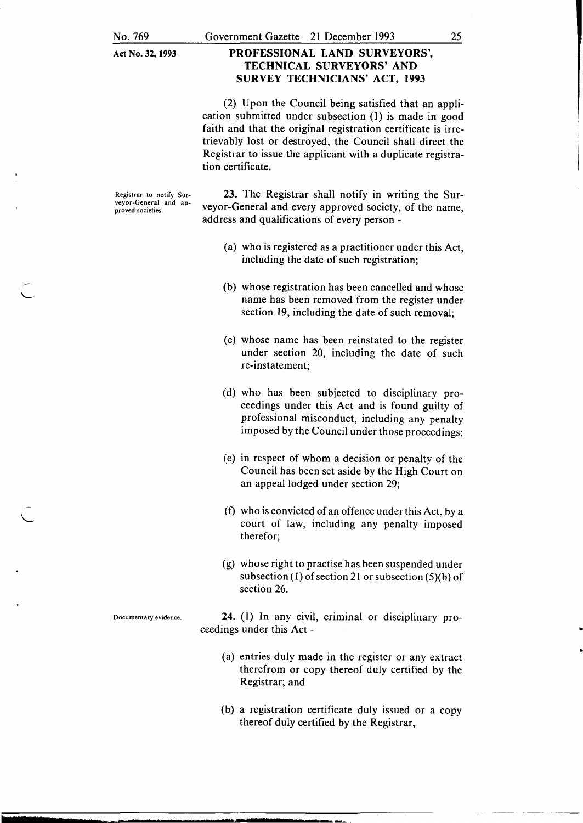(2) Upon the Council being satisfied that an application submitted under subsection (1) is made in good faith and that the original registration certificate is irretrievably lost or destroyed, the Council shall direct the Registrar to issue the applicant with a duplicate registration certificate.

Registrar to notify Sur-<br>
Registrar shall notify in writing the Sur-<br>
veyor-General and ap-<br>
veyor-General and ap-<br>
veyor-General and avery approved society of the name veyor-General and ap-<br>proved societies. veyor-General and every approved society, of the name, address and qualifications of every person -

- (a) who is registered as a practitioner under this Act, including the date of such registration;
- (b) whose registration has been cancelled and whose name has been removed from the register under section 19, including the date of such removal;
- (c) whose name has been reinstated to the register under section 20, including the date of such re-instatement;
- (d) who has been subjected to disciplinary proceedings under this Act and is found guilty of professional misconduct, including any penalty imposed by the Council under those proceedings;
- (e) in respect of whom a decision or penalty of the Council has been set aside by the High Court on an appeal lodged under section 29;
- $f(x)$  who is convicted of an offence under this Act, by a court of law, including any penalty imposed therefor;
- (g) whose right to practise has been suspended under subsection (1) of section 21 or subsection (5)(b) of section 26.

Documentary evidence. 24. (1) In any civil, criminal or disciplinary proceedings under this Act - •

- (a) entries duly made in the register or any extract therefrom or copy thereof duly certified by the Registrar; and
- (b) a registration certificate duly issued or a copy thereof duly certified by the Registrar,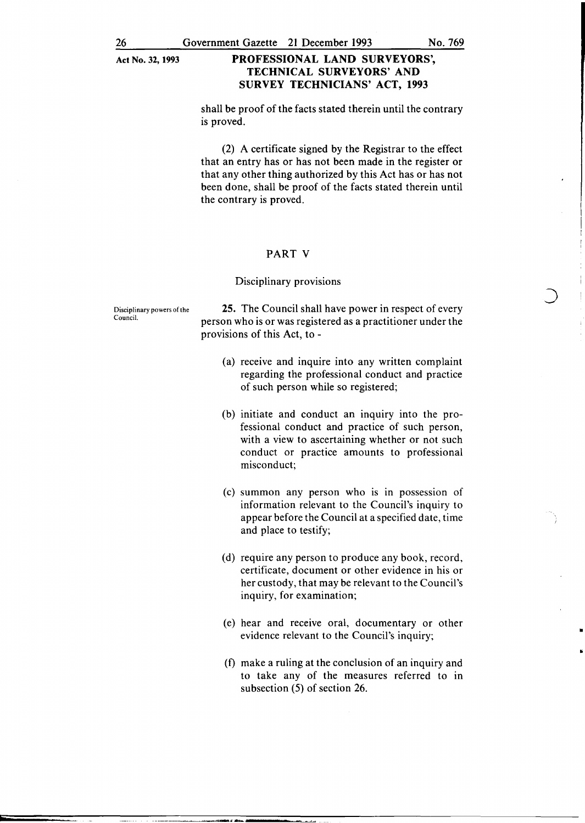shall be proof of the facts stated therein until the contrary is proved.

(2) A certificate signed by the Registrar to the effect that an entry has or has not been made in the register or that any other thing authorized by this Act has or has not been done, shall be proof of the facts stated therein until the contrary is proved.

#### PART V

#### Disciplinary provisions

Disciplinary powers of the Council.

25. The Council shall have power in respect of every person who is or was registered as a practitioner under the provisions of this Act, to -

- (a) receive and inquire into any written complaint regarding the professional conduct and practice of such person while so registered;
- (b) initiate and conduct an inquiry into the professional conduct and practice of such person, with a view to ascertaining whether or not such conduct or practice amounts to professional misconduct;
- (c) summon any person who is in possession of information relevant to the Council's inquiry to appear before the Council at a specified date, time and place to testify;
- (d) require any person to produce any book, record, certificate, document or other evidence in his or her custody, that may be relevant to the Council's inquiry, for examination;
- (e) hear and receive oral, documentary or other evidence relevant to the Council's inquiry;

•

(f) make a ruling at the conclusion of an inquiry and to take any of the measures referred to in subsection (5) of section 26.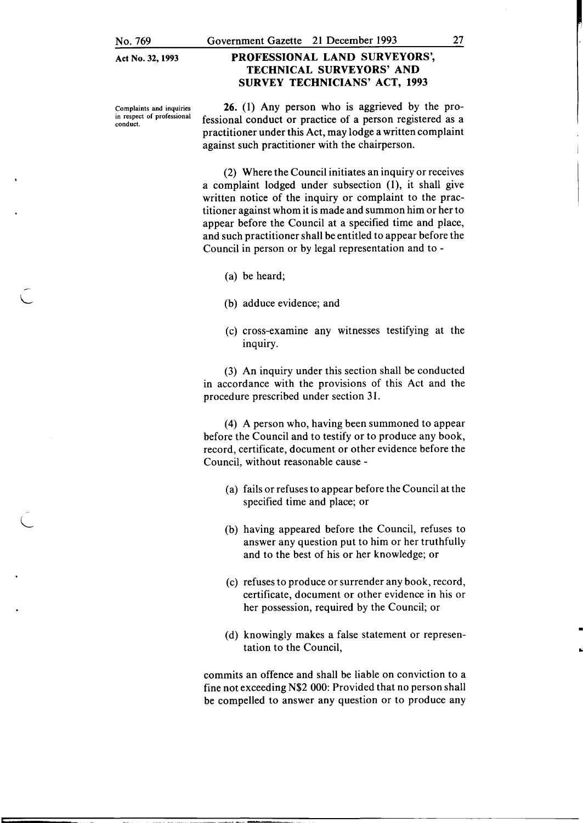No. 769

### PROFESSIONAL LAND SURVEYORS', TECHNICAL SURVEYORS' AND SURVEY TECHNICIANS' ACT, 1993

Complaints and inquiries in respect of professional conduct.

L

L

26. (1) Any person who is aggrieved by the professional conduct or practice of a person registered as a practitioner under this Act, may lodge a written complaint against such practitioner with the chairperson.

(2) Where the Council initiates an inquiry or receives a complaint lodged under subsection (1), it shall give written notice of the inquiry or complaint to the practitioner against whom it is made and summon him or her to appear before the Council at a specified time and place, and such practitioner shall be entitled to appear before the Council in person or by legal representation and to -

- (a) be heard;
- (b) adduce evidence; and
- (c) cross-examme any witnesses testifying at the inquiry.

(3) An inquiry under this section shall be conducted in accordance with the provisions of this Act and the procedure prescribed under section 31.

(4) A person who, having been summoned to appear before the Council and to testify or to produce any book, record, certificate, document or other evidence before the Council, without reasonable cause -

- (a) fails or refuses to appear before the Council at the specified time and place; or
- (b) having appeared before the Council, refuses to answer any question put to him or her truthfully and to the best of his or her knowledge; or
- (c) refuses to produce or surrender any book, record, certificate, document or other evidence in his or her possession, required by the Council; or
- (d) knowingly makes a false statement or representation to the Council,

•

loi

commits an offence and shall be liable on conviction to a fine not exceeding N\$2 000: Provided that no person shall be compelled to answer any question or to produce any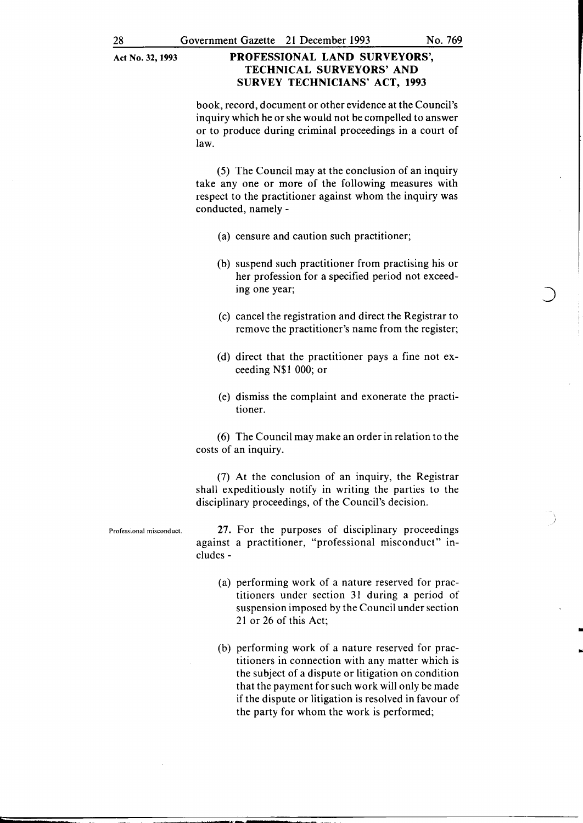book, record, document or other evidence at the Council's inquiry which he or she would not be compelled to answer or to produce during criminal proceedings in a court of law.

(5) The Council may at the conclusion of an inquiry take any one or more of the following measures with respect to the practitioner against whom the inquiry was conducted, namely -

- (a) censure and caution such practitioner;
- (b) suspend such practitioner from practising his or her profession for a specified period not exceeding one year;
- (c) cancel the registration and direct the Registrar to remove the practitioner's name from the register;
- (d) direct that the practitioner pays a fine not exceeding N\$1 000; or
- (e) dismiss the complaint and exonerate the practitioner.

(6) The Council may make an order in relation to the costs of an inquiry.

(7) At the conclusion of an inquiry, the Registrar shall expeditiously notify in writing the parties to the disciplinary proceedings, of the Council's decision.

Professional misconduct. 27. For the purposes of disciplinary proceedings against a practitioner, "professional misconduct" includes -

- (a) performing work of a nature reserved for practitioners under section 31 during a period of suspension imposed by the Council under section 21 or 26 of this Act;
- (b) performing work of a nature reserved for practitioners in connection with any matter which is the subject of a dispute or litigation on condition that the payment for such work will only be made if the dispute or litigation is resolved in favour of the party for whom the work is performed;

 $\ddot{\phantom{0}}$ )

•

..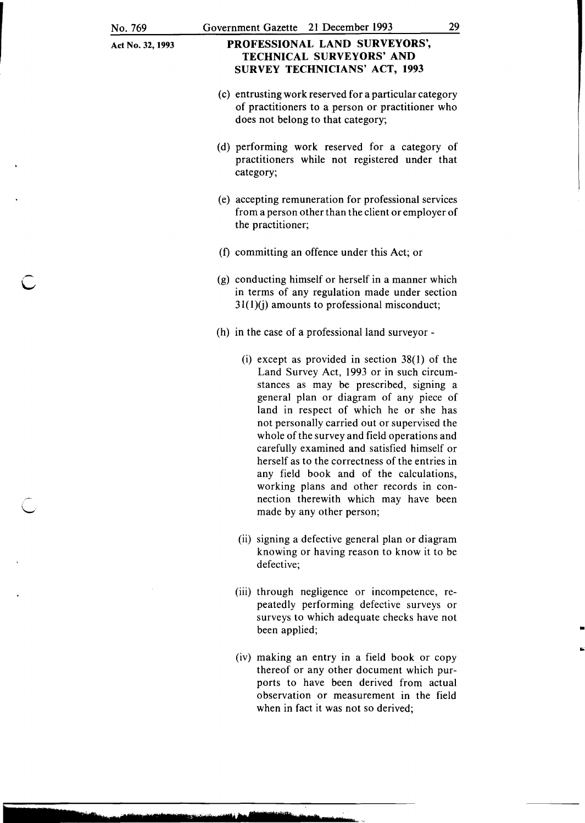### PROFESSIONAL LAND SURVEYORS', TECHNICAL SURVEYORS' AND SURVEY TECHNICIANS' ACT, 1993

- (c) entrusting work reserved for a particular category of practitioners to a person or practitioner who does not belong to that category;
- (d) performing work reserved for a category of practitioners while not registered under that category;
- (e) accepting remuneration for professional services from a person other than the client or employer of the practitioner;
- (f) committing an offence under this Act; or
- (g) conducting himself or herself in a manner which in terms of any regulation made under section  $31(1)(i)$  amounts to professional misconduct;
- (h) in the case of a professional land surveyor
	- (i) except as provided in section  $38(1)$  of the Land Survey Act, 1993 or in such circumstances as may be prescribed, signing a general plan or diagram of any piece of land in respect of which he or she has not personally carried out or supervised the whole of the survey and field operations and carefully examined and satisfied himself or herself as to the correctness of the entries in any field book and of the calculations, working plans and other records in connection therewith which may have been made by any other person;
	- (ii) signing a defective general plan or diagram knowing or having reason to know it to be defective;
	- (iii) through negligence or incompetence, repeatedly performing defective surveys or surveys to which adequate checks have not been applied;

•

(iv) making an entry in a field book or copy thereof or any other document which purports to have been derived from actual observation or measurement in the field when in fact it was not so derived;

**"tImer 1 r \$ SEtlff:• S'bf r JS!l!trtmrt**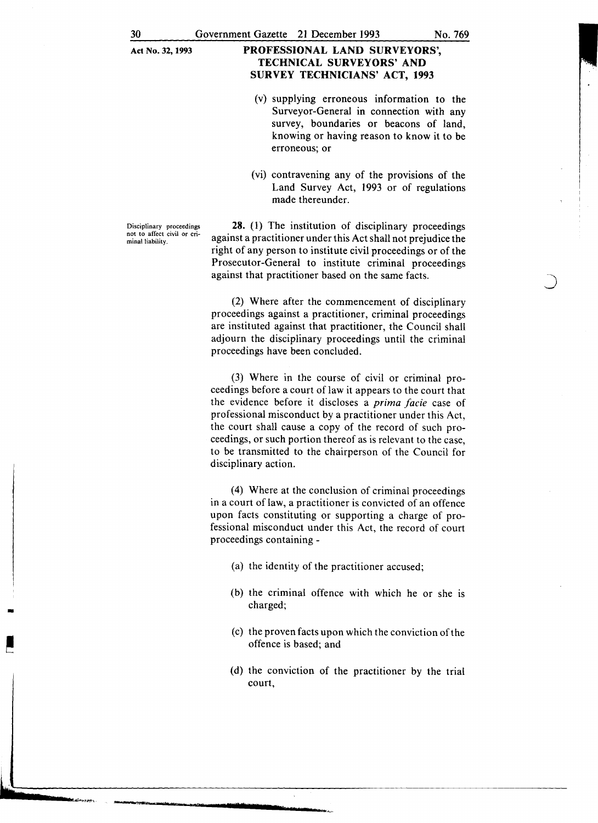- (v) supplying erroneous information to the Surveyor-General in connection with any survey, boundaries or beacons of land, knowing or having reason to know it to be erroneous; or
- (vi) contravening any of the provisions of the Land Survey Act, 1993 or of regulations made thereunder.

Disciplinary proceedings not to affect civil or criminal liability.

28. (1) The institution of disciplinary proceedings against a practitioner under this Act shall not prejudice the right of any person to institute civil proceedings or of the Prosecutor-General to institute criminal proceedings against that practitioner based on the same facts.

(2) Where after the commencement of disciplinary proceedings against a practitioner, criminal proceedings are instituted against that practitioner, the Council shall adjourn the disciplinary proceedings until the criminal proceedings have been concluded.

(3) Where in the course of civil or criminal proceedings before a court of law it appears to the court that the evidence before it discloses a *prima facie* case of professional misconduct by a practitioner under this Act, the court shall cause a copy of the record of such proceedings, or such portion thereof as is relevant to the case, to be transmitted to the chairperson of the Council for disciplinary action.

(4) Where at the conclusion of criminal proceedings in a court of law, a practitioner is convicted of an offence upon facts constituting or supporting a charge of professional misconduct under this Act, the record of court proceedings containing -

- (a) the identity of the practitioner accused;
- (b) the criminal offence with which he or she 1s charged;
- (c) the proven facts upon which the conviction of the offence is based; and
- (d) the conviction of the practitioner by the trial court,

**u----------------------------------------------------** ..... \_llail!.At~!~..\_ **lila"!!f Drlt2t. t** e ?' • **1**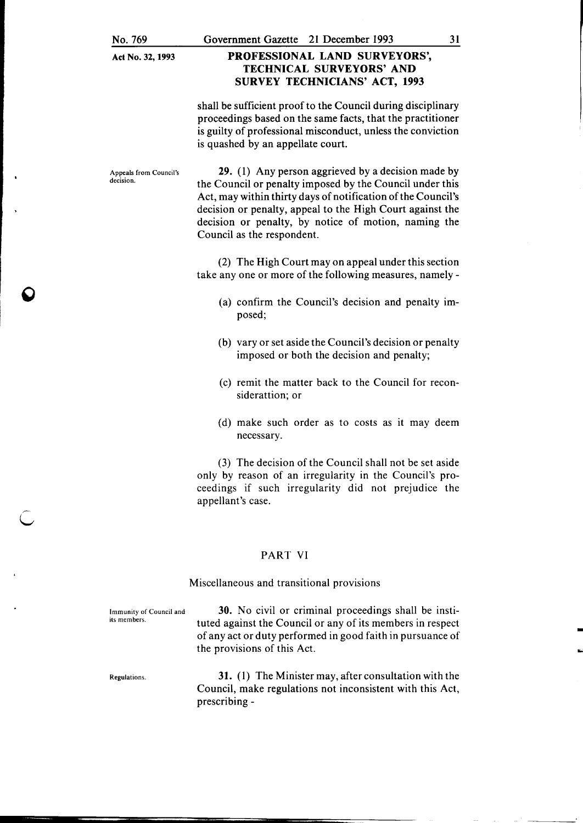### PROFESSIONAL LAND SURVEYORS', TECHNICAL SURVEYORS' AND SURVEY TECHNICIANS' ACT, 1993

shall be sufficient proof to the Council during disciplinary proceedings based on the same facts, that the practitioner is guilty of professional misconduct, unless the conviction is quashed by an appellate court.

Appeals from Council's decision.

29. (1) Any person aggrieved by a decision made by the Council or penalty imposed by the Council under this Act, may within thirty days of notification of the Council's decision or penalty, appeal to the High Court against the decision or penalty, by notice of motion, naming the Council as the respondent.

(2) The High Court may on appeal under this section take any one or more of the following measures, namely-

- (a) confirm the Council's decision and penalty imposed;
- (b) vary or set aside the Council's decision or penalty imposed or both the decision and penalty;
- (c) remit the matter back to the Council for reconsiderattion; or
- (d) make such order as to costs as it may deem necessary.

(3) The decision of the Council shall not be set aside only by reason of an irregularity in the Council's proceedings if such irregularity did not prejudice the appellant's case.

#### PART VI

#### Miscellaneous and transitional provisions

Immunity of Council and its members.

30. No civil or criminal proceedings shall be instituted against the Council or any of its members in respect of any act or duty performed in good faith in pursuance of the provisions of this Act.

Regulations.

 $\overline{C}$ 

31. (1) The Minister may, after consultation with the Council, make regulations not inconsistent with this Act, prescribing -

-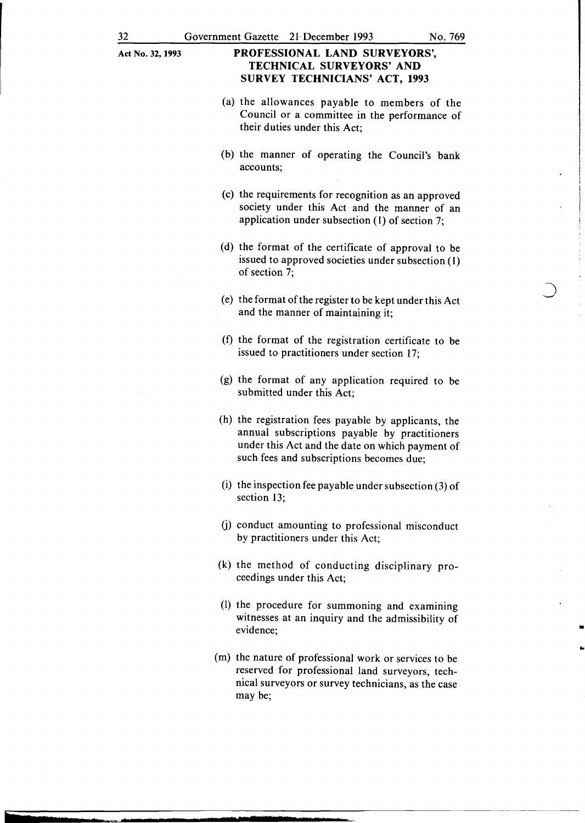- (a) the allowances payable to members of the Council or a committee in the performance of their duties under this Act;
- (b) the manner of operating the Council's bank accounts;
- (c) the requirements for recognition as an approved society under this Act and the manner of an application under subsection (1) of section 7;
- (d) the format of the certificate of approval to be issued to approved societies under subsection (1) of section 7;
- (e) the format of the register to be kept under this Act and the manner of maintaining it;
- (f) the format of the registration certificate to be issued to practitioners under section 17;
- (g) the format of any application required to be submitted under this Act;
- (h) the registration fees payable by applicants, the annual subscriptions payable by practitioners under this Act and the date on which payment of such fees and subscriptions becomes due;
- (i) the inspection fee payable under subsection (3) of section 13;
- (j) conduct amounting to professional misconduct by practitioners under this Act;
- (k) the method of conducting disciplinary proceedings under this Act;
- (I) the procedure for summoning and examining witnesses at an inquiry and the admissibility of evidence;

• ..

(m) the nature of professional work or services to be reserved for professional land surveyors, technical surveyors or survey technicians, as the case may be;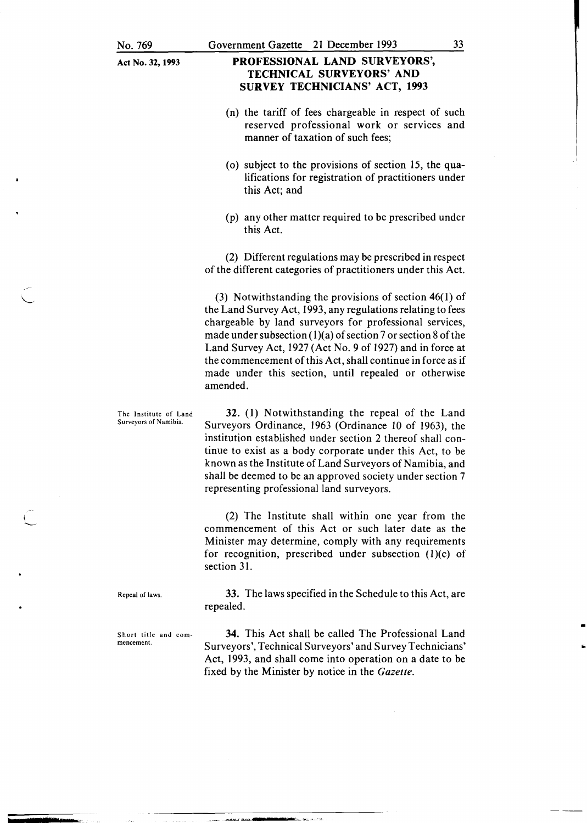### PROFESSIONAL LAND SURVEYORS', TECHNICAL SURVEYORS' AND SURVEY TECHNICIANS' ACT, 1993

- (n) the tariff of fees chargeable in respect of such reserved professional work or services and manner of taxation of such fees;
- ( o) subject to the provisions of section 15, the qualifications for registration of practitioners under this Act; and
- (p) any other matter required to be prescribed under this Act.

(2) Different regulations may be prescribed in respect of the different categories of practitioners under this Act.

(3) Notwithstanding the provisions of section 46(1) of the Land Survey Act, 1993, any regulations relating to fees chargeable by land surveyors for professional services, made under subsection  $(1)(a)$  of section 7 or section 8 of the Land Survey Act, 1927 (Act No.9 of 1927) and in force at the commencement of this Act, shall continue in force as if made under this section, until repealed or otherwise amended.

The Institute of Land Surveyors of Namibia. 32. (1) Notwithstanding the repeal of the Land Surveyors Ordinance, 1963 (Ordinance 10 of 1963), the institution established under section 2 thereof shall continue to exist as a body corporate under this Act, to be known as the Institute of Land Surveyors of Namibia, and shall be deemed to be an approved society under section 7 representing professional land surveyors.

.. - -='->W""""----~

(2) The Institute shall within one year from the commencement of this Act or such later date as the Minister may determine, comply with any requirements for recognition, prescribed under subsection  $(1)(c)$  of section 31.

Repeal of laws.

33. The laws specified in the Schedule to this Act, are repealed.

Short title and commencement.

34. This Act shall be called The Professional Land Surveyors', Technical Surveyors' and Survey Technicians' Act, 1993, and shall come into operation on a date to be fixed by the Minister by notice in the *Gazette .* 

I ·'

> • ..